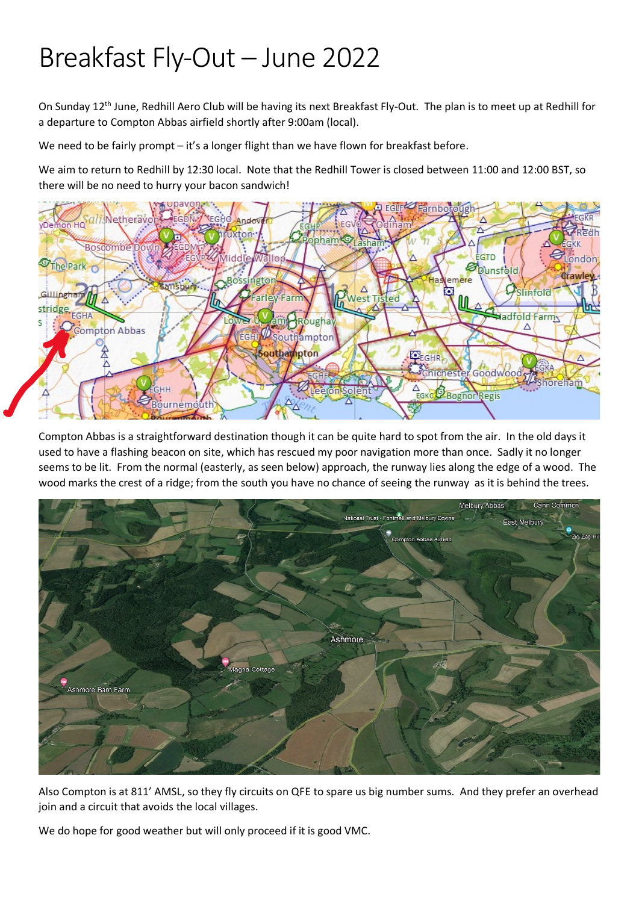## Breakfast Fly-Out – June 2022

On Sunday 12th June, Redhill Aero Club will be having its next Breakfast Fly-Out. The plan is to meet up at Redhill for a departure to Compton Abbas airfield shortly after 9:00am (local).

We need to be fairly prompt – it's a longer flight than we have flown for breakfast before.

We aim to return to Redhill by 12:30 local. Note that the Redhill Tower is closed between 11:00 and 12:00 BST, so there will be no need to hurry your bacon sandwich!



Compton Abbas is a straightforward destination though it can be quite hard to spot from the air. In the old days it used to have a flashing beacon on site, which has rescued my poor navigation more than once. Sadly it no longer seems to be lit. From the normal (easterly, as seen below) approach, the runway lies along the edge of a wood. The wood marks the crest of a ridge; from the south you have no chance of seeing the runway as it is behind the trees.



Also Compton is at 811' AMSL, so they fly circuits on QFE to spare us big number sums. And they prefer an overhead join and a circuit that avoids the local villages.

We do hope for good weather but will only proceed if it is good VMC.